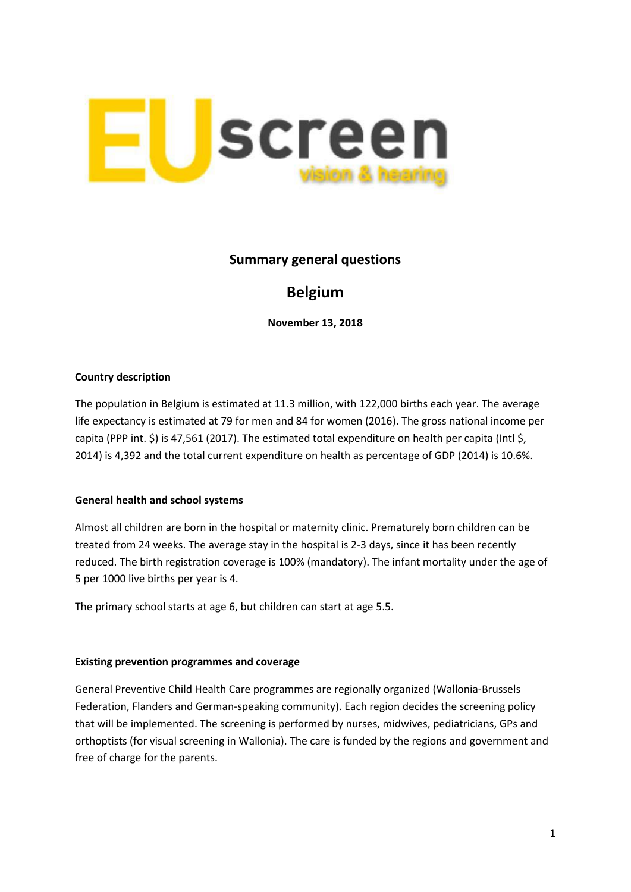

## **Summary general questions**

# **Belgium**

**November 13, 2018**

#### **Country description**

The population in Belgium is estimated at 11.3 million, with 122,000 births each year. The average life expectancy is estimated at 79 for men and 84 for women (2016). The gross national income per capita (PPP int. \$) is 47,561 (2017). The estimated total expenditure on health per capita (Intl \$, 2014) is 4,392 and the total current expenditure on health as percentage of GDP (2014) is 10.6%.

### **General health and school systems**

Almost all children are born in the hospital or maternity clinic. Prematurely born children can be treated from 24 weeks. The average stay in the hospital is 2-3 days, since it has been recently reduced. The birth registration coverage is 100% (mandatory). The infant mortality under the age of 5 per 1000 live births per year is 4.

The primary school starts at age 6, but children can start at age 5.5.

#### **Existing prevention programmes and coverage**

General Preventive Child Health Care programmes are regionally organized (Wallonia-Brussels Federation, Flanders and German-speaking community). Each region decides the screening policy that will be implemented. The screening is performed by nurses, midwives, pediatricians, GPs and orthoptists (for visual screening in Wallonia). The care is funded by the regions and government and free of charge for the parents.